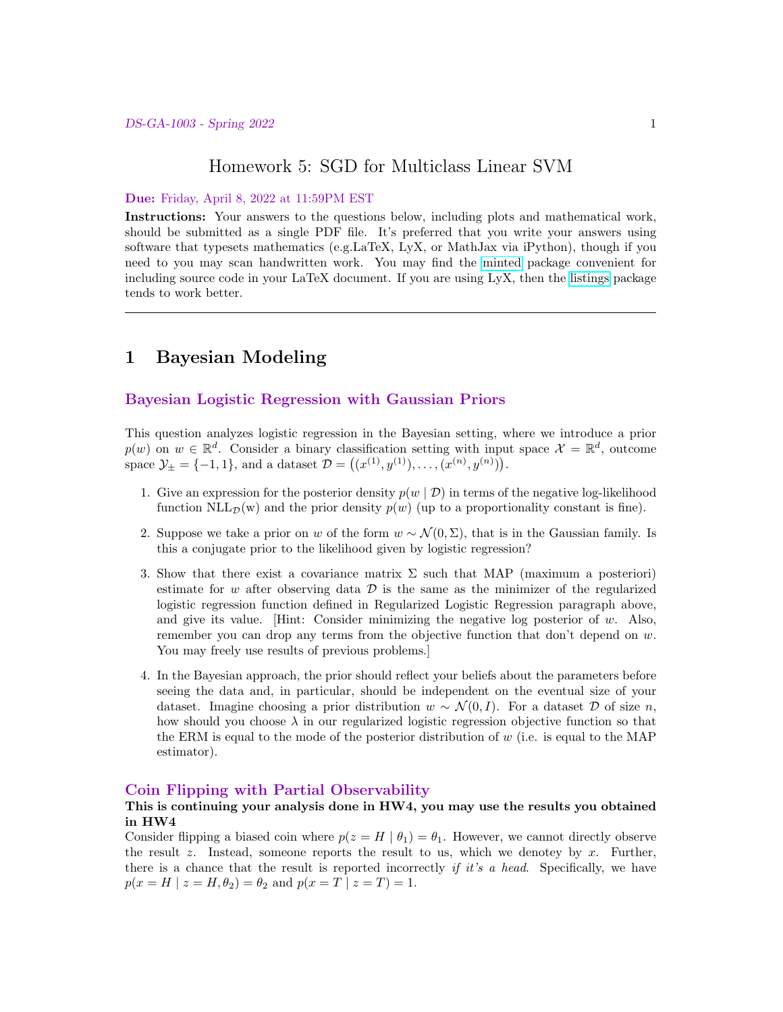## Homework 5: SGD for Multiclass Linear SVM

#### Due: Friday, April 8, 2022 at 11:59PM EST

Instructions: Your answers to the questions below, including plots and mathematical work, should be submitted as a single PDF file. It's preferred that you write your answers using software that typesets mathematics (e.g.LaTeX, LyX, or MathJax via iPython), though if you need to you may scan handwritten work. You may find the [minted](https://github.com/gpoore/minted) package convenient for including source code in your LaTeX document. If you are using LyX, then the [listings](https://en.wikibooks.org/wiki/LaTeX/Source_Code_Listings) package tends to work better.

# 1 Bayesian Modeling

### Bayesian Logistic Regression with Gaussian Priors

This question analyzes logistic regression in the Bayesian setting, where we introduce a prior  $p(w)$  on  $w \in \mathbb{R}^d$ . Consider a binary classification setting with input space  $\mathcal{X} = \mathbb{R}^d$ , outcome space  $\mathcal{Y}_{\pm} = \{-1, 1\}$ , and a dataset  $\mathcal{D} = ((x^{(1)}, y^{(1)}), \dots, (x^{(n)}, y^{(n)}))$ .

- 1. Give an expression for the posterior density  $p(w | D)$  in terms of the negative log-likelihood function  $NLL_{\mathcal{D}}(w)$  and the prior density  $p(w)$  (up to a proportionality constant is fine).
- 2. Suppose we take a prior on w of the form  $w \sim \mathcal{N}(0, \Sigma)$ , that is in the Gaussian family. Is this a conjugate prior to the likelihood given by logistic regression?
- 3. Show that there exist a covariance matrix  $\Sigma$  such that MAP (maximum a posteriori) estimate for w after observing data  $\mathcal D$  is the same as the minimizer of the regularized logistic regression function defined in Regularized Logistic Regression paragraph above, and give its value. [Hint: Consider minimizing the negative log posterior of  $w$ . Also, remember you can drop any terms from the objective function that don't depend on w. You may freely use results of previous problems.]
- 4. In the Bayesian approach, the prior should reflect your beliefs about the parameters before seeing the data and, in particular, should be independent on the eventual size of your dataset. Imagine choosing a prior distribution  $w \sim \mathcal{N}(0, I)$ . For a dataset D of size n, how should you choose  $\lambda$  in our regularized logistic regression objective function so that the ERM is equal to the mode of the posterior distribution of  $w$  (i.e. is equal to the MAP estimator).

### Coin Flipping with Partial Observability

#### This is continuing your analysis done in HW4, you may use the results you obtained in HW4

Consider flipping a biased coin where  $p(z = H | \theta_1) = \theta_1$ . However, we cannot directly observe the result z. Instead, someone reports the result to us, which we denotey by x. Further, there is a chance that the result is reported incorrectly if it's a head. Specifically, we have  $p(x = H \mid z = H, \theta_2) = \theta_2$  and  $p(x = T \mid z = T) = 1$ .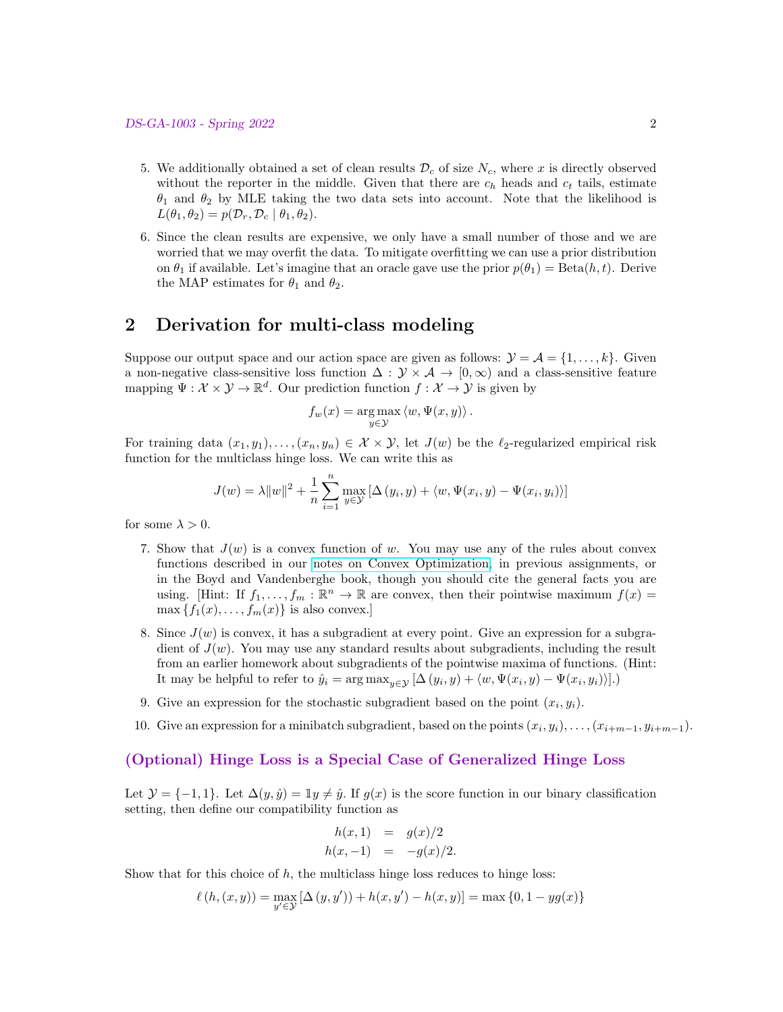- 5. We additionally obtained a set of clean results  $\mathcal{D}_c$  of size  $N_c$ , where x is directly observed without the reporter in the middle. Given that there are  $c_h$  heads and  $c_t$  tails, estimate  $\theta_1$  and  $\theta_2$  by MLE taking the two data sets into account. Note that the likelihood is  $L(\theta_1, \theta_2) = p(\mathcal{D}_r, \mathcal{D}_c \mid \theta_1, \theta_2).$
- 6. Since the clean results are expensive, we only have a small number of those and we are worried that we may overfit the data. To mitigate overfitting we can use a prior distribution on  $\theta_1$  if available. Let's imagine that an oracle gave use the prior  $p(\theta_1) = \text{Beta}(h, t)$ . Derive the MAP estimates for  $\theta_1$  and  $\theta_2$ .

# 2 Derivation for multi-class modeling

Suppose our output space and our action space are given as follows:  $\mathcal{Y} = \mathcal{A} = \{1, \ldots, k\}$ . Given a non-negative class-sensitive loss function  $\Delta : \mathcal{Y} \times \mathcal{A} \to [0,\infty)$  and a class-sensitive feature mapping  $\Psi: \mathcal{X} \times \mathcal{Y} \to \mathbb{R}^d$ . Our prediction function  $f: \mathcal{X} \to \mathcal{Y}$  is given by

$$
f_w(x) = \underset{y \in \mathcal{Y}}{\arg \max} \langle w, \Psi(x, y) \rangle.
$$

For training data  $(x_1, y_1), \ldots, (x_n, y_n) \in \mathcal{X} \times \mathcal{Y}$ , let  $J(w)$  be the  $\ell_2$ -regularized empirical risk function for the multiclass hinge loss. We can write this as

$$
J(w) = \lambda ||w||^{2} + \frac{1}{n} \sum_{i=1}^{n} \max_{y \in \mathcal{Y}} [\Delta(y_{i}, y) + \langle w, \Psi(x_{i}, y) - \Psi(x_{i}, y_{i}) \rangle]
$$

for some  $\lambda > 0$ .

- 7. Show that  $J(w)$  is a convex function of w. You may use any of the rules about convex functions described in our [notes on Convex Optimization,](https://davidrosenberg.github.io/mlcourse/Notes/convex-optimization.pdf) in previous assignments, or in the Boyd and Vandenberghe book, though you should cite the general facts you are using. [Hint: If  $f_1, \ldots, f_m : \mathbb{R}^n \to \mathbb{R}$  are convex, then their pointwise maximum  $f(x) =$  $\max \{f_1(x), \ldots, f_m(x)\}\$ is also convex.]
- 8. Since  $J(w)$  is convex, it has a subgradient at every point. Give an expression for a subgradient of  $J(w)$ . You may use any standard results about subgradients, including the result from an earlier homework about subgradients of the pointwise maxima of functions. (Hint: It may be helpful to refer to  $\hat{y}_i = \arg \max_{y \in \mathcal{Y}} [\Delta(y_i, y) + \langle w, \Psi(x_i, y) - \Psi(x_i, y_i) \rangle].$
- 9. Give an expression for the stochastic subgradient based on the point  $(x_i, y_i)$ .
- 10. Give an expression for a minibatch subgradient, based on the points  $(x_i, y_i), \ldots, (x_{i+m-1}, y_{i+m-1})$ .

#### (Optional) Hinge Loss is a Special Case of Generalized Hinge Loss

Let  $\mathcal{Y} = \{-1, 1\}$ . Let  $\Delta(y, \hat{y}) = \mathbb{I}y \neq \hat{y}$ . If  $g(x)$  is the score function in our binary classification setting, then define our compatibility function as

$$
h(x,1) = g(x)/2 h(x,-1) = -g(x)/2.
$$

Show that for this choice of  $h$ , the multiclass hinge loss reduces to hinge loss:

$$
\ell(h, (x, y)) = \max_{y' \in \mathcal{Y}} [\Delta(y, y')) + h(x, y') - h(x, y)] = \max\{0, 1 - yg(x)\}\
$$